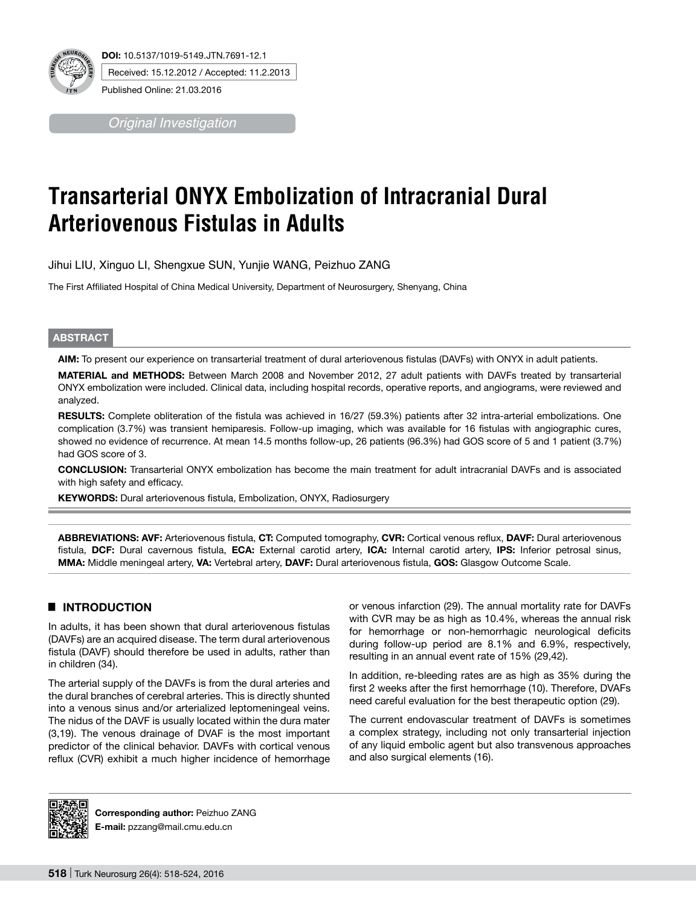

*Original Investigation*

# **Transarterial ONYX Embolization of Intracranial Dural Arteriovenous Fistulas in Adults**

Jihui LIU, Xinguo LI, Shengxue SUN, Yunjie WANG, Peizhuo ZANG

The First Affiliated Hospital of China Medical University, Department of Neurosurgery, Shenyang, China

#### **ABSTRACT**

**AIm:** To present our experience on transarterial treatment of dural arteriovenous fistulas (DAVFs) with ONYX in adult patients.

**MaterIal and Methods:** Between March 2008 and November 2012, 27 adult patients with DAVFs treated by transarterial ONYX embolization were included. Clinical data, including hospital records, operative reports, and angiograms, were reviewed and analyzed.

RESULTS: Complete obliteration of the fistula was achieved in 16/27 (59.3%) patients after 32 intra-arterial embolizations. One complication (3.7%) was transient hemiparesis. Follow-up imaging, which was available for 16 fistulas with angiographic cures, showed no evidence of recurrence. At mean 14.5 months follow-up, 26 patients (96.3%) had GOS score of 5 and 1 patient (3.7%) had GOS score of 3.

**ConclusIon:** Transarterial ONYX embolization has become the main treatment for adult intracranial DAVFs and is associated with high safety and efficacy.

**KEYWORDS:** Dural arteriovenous fistula, Embolization, ONYX, Radiosurgery

**ABBREVIATIONS: AVF:** Arteriovenous fistula, **CT:** Computed tomography, **CVR:** Cortical venous reflux, **DAVF:** Dural arteriovenous fistula, **DCF:** Dural cavernous fistula, **ECA:** External carotid artery, **ICA:** Internal carotid artery, **IPS:** Inferior petrosal sinus, **MMA:** Middle meningeal artery, **VA:** Vertebral artery, **DAVF:** Dural arteriovenous fistula, **GOS:** Glasgow Outcome Scale.

# █ **INTRODUCTION**

In adults, it has been shown that dural arteriovenous fistulas (DAVFs) are an acquired disease. The term dural arteriovenous fistula (DAVF) should therefore be used in adults, rather than in children (34).

The arterial supply of the DAVFs is from the dural arteries and the dural branches of cerebral arteries. This is directly shunted into a venous sinus and/or arterialized leptomeningeal veins. The nidus of the DAVF is usually located within the dura mater (3,19). The venous drainage of DVAF is the most important predictor of the clinical behavior. DAVFs with cortical venous reflux (CVR) exhibit a much higher incidence of hemorrhage or venous infarction (29). The annual mortality rate for DAVFs with CVR may be as high as 10.4%, whereas the annual risk for hemorrhage or non-hemorrhagic neurological deficits during follow-up period are 8.1% and 6.9%, respectively, resulting in an annual event rate of 15% (29,42).

In addition, re-bleeding rates are as high as 35% during the first 2 weeks after the first hemorrhage (10). Therefore, DVAFs need careful evaluation for the best therapeutic option (29).

The current endovascular treatment of DAVFs is sometimes a complex strategy, including not only transarterial injection of any liquid embolic agent but also transvenous approaches and also surgical elements (16).



**Corresponding author:** Peizhuo ZANG **E-mail:** pzzang@mail.cmu.edu.cn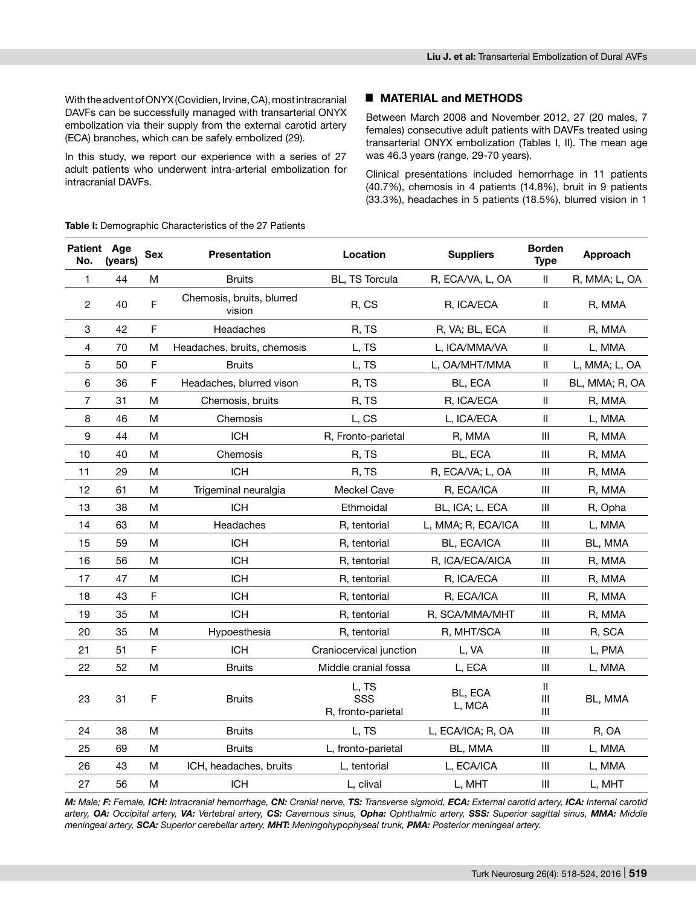With the advent of ONYX (Covidien, Irvine, CA), most intracranial DAVFs can be successfully managed with transarterial ONYX embolization via their supply from the external carotid artery (ECA) branches, which can be safely embolized (29).

In this study, we report our experience with a series of 27 adult patients who underwent intra-arterial embolization for intracranial DAVFs.

### █ **MATERIAL and METHODS**

Between March 2008 and November 2012, 27 (20 males, 7 females) consecutive adult patients with DAVFs treated using transarterial Onyx embolization (Tables I, II). The mean age was 46.3 years (range, 29-70 years).

Clinical presentations included hemorrhage in 11 patients (40.7%), chemosis in 4 patients (14.8%), bruit in 9 patients (33.3%), headaches in 5 patients (18.5%), blurred vision in 1

| Patient Age<br>No. | (vears) | <b>Sex</b>                                                                            | <b>Presentation</b>                 | Location<br><b>Suppliers</b>       |                    | <b>Borden</b><br><b>Type</b>                                          | Approach       |
|--------------------|---------|---------------------------------------------------------------------------------------|-------------------------------------|------------------------------------|--------------------|-----------------------------------------------------------------------|----------------|
| 1                  | 44      | M                                                                                     | <b>Bruits</b>                       | <b>BL, TS Torcula</b>              | R, ECA/VA, L, OA   | $\mathbf{I}$                                                          | R, MMA; L, OA  |
| 2                  | 40      | F                                                                                     | Chemosis, bruits, blurred<br>vision | R, CS                              | R, ICA/ECA         | $\,$ H                                                                | R, MMA         |
| 3                  | 42      | F                                                                                     | Headaches                           | R, TS                              | R, VA; BL, ECA     | $\mathbf{I}$                                                          | R, MMA         |
| 4                  | 70      | М                                                                                     | Headaches, bruits, chemosis         | L, TS                              | L, ICA/MMA/VA      | $\ensuremath{\mathsf{II}}$                                            | L, MMA         |
| 5                  | 50      | F                                                                                     | <b>Bruits</b>                       | L, TS                              | L, OA/MHT/MMA      | $\ensuremath{\mathsf{II}}$                                            | L, MMA; L, OA  |
| 6                  | 36      | F                                                                                     | Headaches, blurred vison            | R, TS                              | BL, ECA            | $\mathbf{I}$                                                          | BL, MMA; R, OA |
| 7                  | 31      | M                                                                                     | Chemosis, bruits                    | R, TS                              | R, ICA/ECA         | $\mathbf{I}$                                                          | R, MMA         |
| 8                  | 46      | М                                                                                     | Chemosis                            | L, CS                              | L, ICA/ECA         | $\ensuremath{\mathsf{II}}$                                            | L, MMA         |
| 9                  | 44      | M                                                                                     | <b>ICH</b>                          | R, Fronto-parietal                 | R, MMA             | $\mathop{\rm III}\nolimits$                                           | R, MMA         |
| 10                 | 40      | М                                                                                     | Chemosis                            | R, TS                              | BL, ECA            | Ш                                                                     | R, MMA         |
| 11                 | 29      | M                                                                                     | <b>ICH</b>                          | R, TS                              | R, ECA/VA; L, OA   | Ш                                                                     | R, MMA         |
| 12                 | 61      | M                                                                                     | Trigeminal neuralgia                | Meckel Cave                        | R, ECA/ICA         | $\mathbf{III}$                                                        | R, MMA         |
| 13                 | 38      | M                                                                                     | <b>ICH</b>                          | Ethmoidal                          | BL, ICA; L, ECA    | $\mathbf{III}$                                                        | R, Opha        |
| 14                 | 63      | M                                                                                     | Headaches                           | R, tentorial                       | L, MMA; R, ECA/ICA | $\mathbf{III}$                                                        | L, MMA         |
| 15                 | 59      | M                                                                                     | <b>ICH</b>                          | R, tentorial                       | BL, ECA/ICA        | Ш                                                                     | BL, MMA        |
| 16                 | 56      | M                                                                                     | <b>ICH</b>                          | R, tentorial                       | R, ICA/ECA/AICA    | $\mathbf{III}$                                                        | R, MMA         |
| 17                 | 47      | M                                                                                     | <b>ICH</b>                          | R, tentorial                       | R, ICA/ECA         | $\mathbf{III}$                                                        | R, MMA         |
| 18                 | 43      | F                                                                                     | <b>ICH</b>                          | R, tentorial                       | R, ECA/ICA         | Ш                                                                     | R, MMA         |
| 19                 | 35      | M                                                                                     | <b>ICH</b>                          | R, tentorial                       | R, SCA/MMA/MHT     | Ш                                                                     | R, MMA         |
| 20                 | 35      | М                                                                                     | Hypoesthesia                        | R, tentorial                       | R, MHT/SCA         | Ш                                                                     | R, SCA         |
| 21                 | 51      | F                                                                                     | <b>ICH</b>                          | Craniocervical junction            | L, VA              | $\mathbf{III}$                                                        | L, PMA         |
| 22                 | 52      | $\mathsf{M}% _{T}=\mathsf{M}_{T}\!\left( a,b\right) ,\ \mathsf{M}_{T}=\mathsf{M}_{T}$ | <b>Bruits</b>                       | Middle cranial fossa               | L, ECA             | $\mathbf{III}$                                                        | L, MMA         |
| 23                 | 31      | F                                                                                     | <b>Bruits</b>                       | L, TS<br>SSS<br>R, fronto-parietal | BL, ECA<br>L, MCA  | $\mathbf{  }$<br>$\begin{array}{c} \Pi \end{array}$<br>$\mathbf{III}$ | BL, MMA        |
| 24                 | 38      | M                                                                                     | <b>Bruits</b>                       | L, TS                              | L, ECA/ICA; R, OA  | $\mathbf{III}$                                                        | R, OA          |
| 25                 | 69      | M                                                                                     | <b>Bruits</b>                       | L, fronto-parietal                 | BL, MMA            | Ш                                                                     | L, MMA         |
| 26                 | 43      | M                                                                                     | ICH, headaches, bruits              | L, tentorial                       | L, ECA/ICA         | $\mathbf{III}$                                                        | L, MMA         |
| 27                 | 56      | M                                                                                     | <b>ICH</b>                          | L, clival                          | L, MHT             | $\mathbf{III}$                                                        | L, MHT         |

**Table I:** Demographic Characteristics of the 27 Patients

M: Male; F: Female, ICH: Intracranial hemorrhage, CN: Cranial nerve, TS: Transverse sigmoid, ECA: External carotid artery, ICA: Internal carotid artery, OA: Occipital artery, VA: Vertebral artery, CS: Cavernous sinus, Opha: Ophthalmic artery, SSS: Superior sagittal sinus, MMA: Middle *meningeal artery, SCA: Superior cerebellar artery, MHT: Meningohypophyseal trunk, PMA: Posterior meningeal artery.*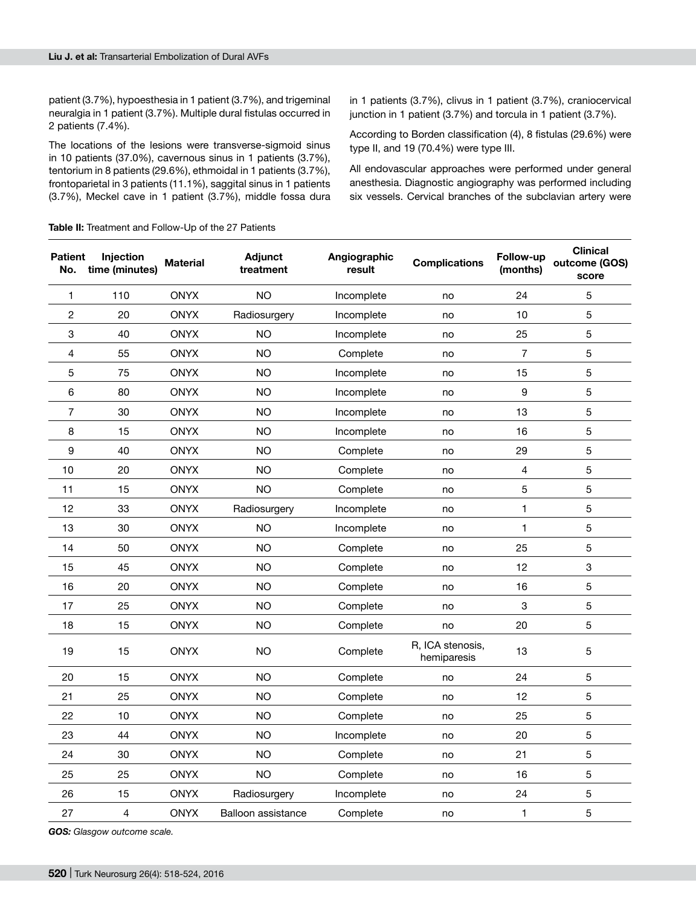patient (3.7%), hypoesthesia in 1 patient (3.7%), and trigeminal neuralgia in 1 patient (3.7%). Multiple dural fistulas occurred in 2 patients (7.4%).

The locations of the lesions were transverse-sigmoid sinus in 10 patients (37.0%), cavernous sinus in 1 patients (3.7%), tentorium in 8 patients (29.6%), ethmoidal in 1 patients (3.7%), frontoparietal in 3 patients (11.1%), saggital sinus in 1 patients (3.7%), Meckel cave in 1 patient (3.7%), middle fossa dura

in 1 patients (3.7%), clivus in 1 patient (3.7%), craniocervical junction in 1 patient (3.7%) and torcula in 1 patient (3.7%).

According to Borden classification (4), 8 fistulas (29.6%) were type II, and 19 (70.4%) were type III.

All endovascular approaches were performed under general anesthesia. Diagnostic angiography was performed including six vessels. Cervical branches of the subclavian artery were

**Table II:** Treatment and Follow-Up of the 27 Patients

| <b>Patient</b><br>No. | Injection<br>time (minutes) | <b>Material</b> | Adjunct<br>treatment | Angiographic<br>result | <b>Complications</b>            | Follow-up<br>(months) | <b>Clinical</b><br>outcome (GOS)<br>score |
|-----------------------|-----------------------------|-----------------|----------------------|------------------------|---------------------------------|-----------------------|-------------------------------------------|
| 1                     | 110                         | <b>ONYX</b>     | <b>NO</b>            | Incomplete             | no                              | 24                    | 5                                         |
| 2                     | 20                          | <b>ONYX</b>     | Radiosurgery         | Incomplete             | no                              | 10                    | 5                                         |
| 3                     | 40                          | <b>ONYX</b>     | <b>NO</b>            | Incomplete             | no                              | 25                    | 5                                         |
| 4                     | 55                          | <b>ONYX</b>     | <b>NO</b>            | Complete               | no                              | $\overline{7}$        | 5                                         |
| 5                     | 75                          | <b>ONYX</b>     | <b>NO</b>            | Incomplete             | no                              | 15                    | 5                                         |
| $\,6\,$               | 80                          | <b>ONYX</b>     | <b>NO</b>            | Incomplete             | no                              | 9                     | 5                                         |
| $\overline{7}$        | 30                          | <b>ONYX</b>     | <b>NO</b>            | Incomplete             | no                              | 13                    | 5                                         |
| 8                     | 15                          | <b>ONYX</b>     | <b>NO</b>            | Incomplete             | no                              | 16                    | 5                                         |
| 9                     | 40                          | <b>ONYX</b>     | <b>NO</b>            | Complete               | no                              | 29                    | 5                                         |
| 10                    | 20                          | <b>ONYX</b>     | <b>NO</b>            | Complete               | no                              | 4                     | 5                                         |
| 11                    | 15                          | <b>ONYX</b>     | <b>NO</b>            | Complete               | no                              | 5                     | 5                                         |
| 12                    | 33                          | <b>ONYX</b>     | Radiosurgery         | Incomplete             | no                              | 1                     | 5                                         |
| 13                    | 30                          | <b>ONYX</b>     | <b>NO</b>            | Incomplete             | no                              | $\mathbf{1}$          | 5                                         |
| 14                    | 50                          | <b>ONYX</b>     | <b>NO</b>            | Complete               | no                              | 25                    | 5                                         |
| 15                    | 45                          | <b>ONYX</b>     | <b>NO</b>            | Complete               | no                              | 12                    | 3                                         |
| 16                    | 20                          | <b>ONYX</b>     | <b>NO</b>            | Complete               | no                              | 16                    | 5                                         |
| 17                    | 25                          | <b>ONYX</b>     | <b>NO</b>            | Complete               | no                              | 3                     | 5                                         |
| 18                    | 15                          | <b>ONYX</b>     | <b>NO</b>            | Complete               | no                              | 20                    | 5                                         |
| 19                    | 15                          | <b>ONYX</b>     | <b>NO</b>            | Complete               | R, ICA stenosis,<br>hemiparesis | 13                    | 5                                         |
| 20                    | 15                          | <b>ONYX</b>     | <b>NO</b>            | Complete               | no                              | 24                    | 5                                         |
| 21                    | 25                          | <b>ONYX</b>     | <b>NO</b>            | Complete               | no                              | 12                    | 5                                         |
| 22                    | 10                          | <b>ONYX</b>     | <b>NO</b>            | Complete               | no                              | 25                    | 5                                         |
| 23                    | 44                          | <b>ONYX</b>     | <b>NO</b>            | Incomplete             | no                              | 20                    | 5                                         |
| 24                    | 30                          | <b>ONYX</b>     | <b>NO</b>            | Complete               | no                              | 21                    | 5                                         |
| 25                    | 25                          | <b>ONYX</b>     | <b>NO</b>            | Complete               | no                              | 16                    | 5                                         |
| 26                    | 15                          | <b>ONYX</b>     | Radiosurgery         | Incomplete             | no                              | 24                    | 5                                         |
| 27                    | 4                           | <b>ONYX</b>     | Balloon assistance   | Complete               | no                              | 1                     | 5                                         |

*GOS: Glasgow outcome scale.*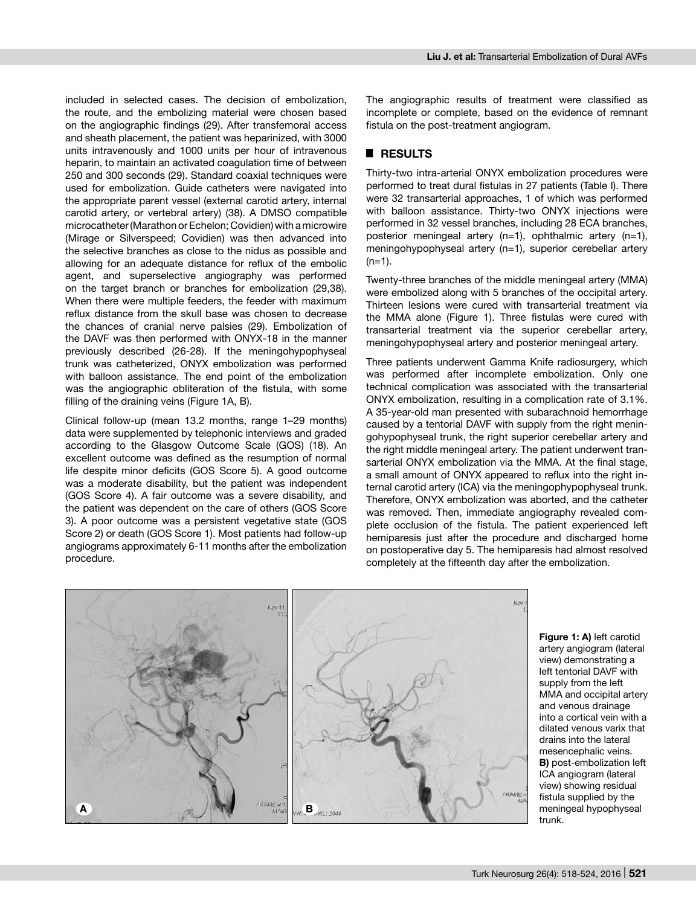included in selected cases. The decision of embolization, the route, and the embolizing material were chosen based on the angiographic findings (29). After transfemoral access and sheath placement, the patient was heparinized, with 3000 units intravenously and 1000 units per hour of intravenous heparin, to maintain an activated coagulation time of between 250 and 300 seconds (29). Standard coaxial techniques were used for embolization. Guide catheters were navigated into the appropriate parent vessel (external carotid artery, internal carotid artery, or vertebral artery) (38). A DMSO compatible microcatheter (Marathon or Echelon; Covidien) with a microwire (Mirage or Silverspeed; Covidien) was then advanced into the selective branches as close to the nidus as possible and allowing for an adequate distance for reflux of the embolic agent, and superselective angiography was performed on the target branch or branches for embolization (29,38). When there were multiple feeders, the feeder with maximum reflux distance from the skull base was chosen to decrease the chances of cranial nerve palsies (29). Embolization of the DAVF was then performed with ONYX-18 in the manner previously described (26-28). If the meningohypophyseal trunk was catheterized, ONYX embolization was performed with balloon assistance. The end point of the embolization was the angiographic obliteration of the fistula, with some filling of the draining veins (Figure 1A, B).

Clinical follow-up (mean 13.2 months, range 1–29 months) data were supplemented by telephonic interviews and graded according to the Glasgow Outcome Scale (GOS) (18). An excellent outcome was defined as the resumption of normal life despite minor deficits (GOS Score 5). A good outcome was a moderate disability, but the patient was independent (GOS Score 4). A fair outcome was a severe disability, and the patient was dependent on the care of others (GOS Score 3). A poor outcome was a persistent vegetative state (GOS Score 2) or death (GOS Score 1). Most patients had follow-up angiograms approximately 6-11 months after the embolization procedure.

The angiographic results of treatment were classified as incomplete or complete, based on the evidence of remnant fistula on the post-treatment angiogram.

## █ **RESULTS**

Thirty-two intra-arterial ONYX embolization procedures were performed to treat dural fistulas in 27 patients (Table I). There were 32 transarterial approaches, 1 of which was performed with balloon assistance. Thirty-two ONYX injections were performed in 32 vessel branches, including 28 ECA branches, posterior meningeal artery (n=1), ophthalmic artery (n=1), meningohypophyseal artery (n=1), superior cerebellar artery  $(n=1)$ .

Twenty-three branches of the middle meningeal artery (MMA) were embolized along with 5 branches of the occipital artery. Thirteen lesions were cured with transarterial treatment via the MMA alone (Figure 1). Three fistulas were cured with transarterial treatment via the superior cerebellar artery, meningohypophyseal artery and posterior meningeal artery.

Three patients underwent Gamma Knife radiosurgery, which was performed after incomplete embolization. Only one technical complication was associated with the transarterial ONYX embolization, resulting in a complication rate of 3.1%. A 35-year-old man presented with subarachnoid hemorrhage caused by a tentorial DAVF with supply from the right meningohypophyseal trunk, the right superior cerebellar artery and the right middle meningeal artery. The patient underwent transarterial ONYX embolization via the MMA. At the final stage, a small amount of ONYX appeared to reflux into the right internal carotid artery (ICA) via the meningophypophyseal trunk. Therefore, ONYX embolization was aborted, and the catheter was removed. Then, immediate angiography revealed complete occlusion of the fistula. The patient experienced left hemiparesis just after the procedure and discharged home on postoperative day 5. The hemiparesis had almost resolved completely at the fifteenth day after the embolization.



**Figure 1: A)** left carotid artery angiogram (lateral view) demonstrating a left tentorial DAVF with supply from the left MMA and occipital artery and venous drainage into a cortical vein with a dilated venous varix that drains into the lateral mesencephalic veins. **B)** post-embolization left ICA angiogram (lateral view) showing residual fistula supplied by the meningeal hypophyseal trunk.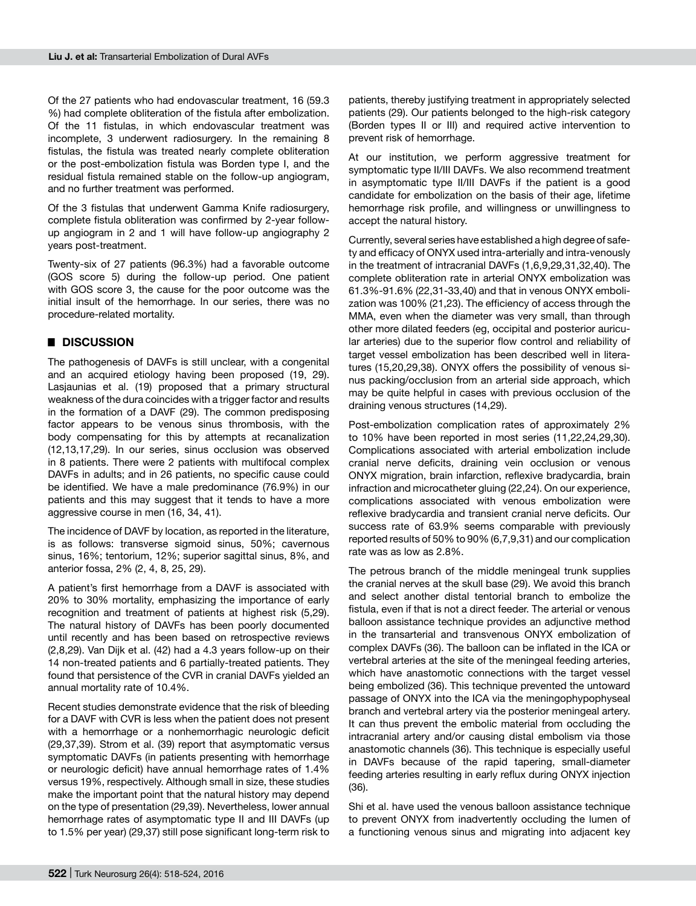Of the 27 patients who had endovascular treatment, 16 (59.3 %) had complete obliteration of the fistula after embolization. Of the 11 fistulas, in which endovascular treatment was incomplete, 3 underwent radiosurgery. In the remaining 8 fistulas, the fistula was treated nearly complete obliteration or the post-embolization fistula was Borden type I, and the residual fistula remained stable on the follow-up angiogram, and no further treatment was performed.

Of the 3 fistulas that underwent Gamma Knife radiosurgery, complete fistula obliteration was confirmed by 2-year followup angiogram in 2 and 1 will have follow-up angiography 2 years post-treatment.

Twenty-six of 27 patients (96.3%) had a favorable outcome (GOS score 5) during the follow-up period. One patient with GOS score 3, the cause for the poor outcome was the initial insult of the hemorrhage. In our series, there was no procedure-related mortality.

#### █ **DISCUSSION**

The pathogenesis of DAVFs is still unclear, with a congenital and an acquired etiology having been proposed (19, 29). Lasjaunias et al. (19) proposed that a primary structural weakness of the dura coincides with a trigger factor and results in the formation of a DAVF (29). The common predisposing factor appears to be venous sinus thrombosis, with the body compensating for this by attempts at recanalization (12,13,17,29). In our series, sinus occlusion was observed in 8 patients. There were 2 patients with multifocal complex DAVFs in adults; and in 26 patients, no specific cause could be identified. We have a male predominance (76.9%) in our patients and this may suggest that it tends to have a more aggressive course in men (16, 34, 41).

The incidence of DAVF by location, as reported in the literature, is as follows: transverse sigmoid sinus, 50%; cavernous sinus, 16%; tentorium, 12%; superior sagittal sinus, 8%, and anterior fossa, 2% (2, 4, 8, 25, 29).

A patient's first hemorrhage from a DAVF is associated with 20% to 30% mortality, emphasizing the importance of early recognition and treatment of patients at highest risk (5,29). The natural history of DAVFs has been poorly documented until recently and has been based on retrospective reviews (2,8,29). Van Dijk et al. (42) had a 4.3 years follow-up on their 14 non-treated patients and 6 partially-treated patients. They found that persistence of the CVR in cranial DAVFs yielded an annual mortality rate of 10.4%.

Recent studies demonstrate evidence that the risk of bleeding for a DAVF with CVR is less when the patient does not present with a hemorrhage or a nonhemorrhagic neurologic deficit (29,37,39). Strom et al. (39) report that asymptomatic versus symptomatic DAVFs (in patients presenting with hemorrhage or neurologic deficit) have annual hemorrhage rates of 1.4% versus 19%, respectively. Although small in size, these studies make the important point that the natural history may depend on the type of presentation (29,39). Nevertheless, lower annual hemorrhage rates of asymptomatic type II and III DAVFs (up to 1.5% per year) (29,37) still pose significant long-term risk to

patients, thereby justifying treatment in appropriately selected patients (29). Our patients belonged to the high-risk category (Borden types II or III) and required active intervention to prevent risk of hemorrhage.

At our institution, we perform aggressive treatment for symptomatic type II/III DAVFs. We also recommend treatment in asymptomatic type II/III DAVFs if the patient is a good candidate for embolization on the basis of their age, lifetime hemorrhage risk profile, and willingness or unwillingness to accept the natural history.

Currently, several series have established a high degree of safety and efficacy of ONYX used intra-arterially and intra-venously in the treatment of intracranial DAVFs (1,6,9,29,31,32,40). The complete obliteration rate in arterial ONYX embolization was 61.3%-91.6% (22,31-33,40) and that in venous ONYX embolization was 100% (21,23). The efficiency of access through the MMA, even when the diameter was very small, than through other more dilated feeders (eg, occipital and posterior auricular arteries) due to the superior flow control and reliability of target vessel embolization has been described well in literatures (15,20,29,38). ONYX offers the possibility of venous sinus packing/occlusion from an arterial side approach, which may be quite helpful in cases with previous occlusion of the draining venous structures (14,29).

Post-embolization complication rates of approximately 2% to 10% have been reported in most series (11,22,24,29,30). Complications associated with arterial embolization include cranial nerve deficits, draining vein occlusion or venous ONYX migration, brain infarction, reflexive bradycardia, brain infraction and microcatheter gluing (22,24). On our experience, complications associated with venous embolization were reflexive bradycardia and transient cranial nerve deficits. Our success rate of 63.9% seems comparable with previously reported results of 50% to 90% (6,7,9,31) and our complication rate was as low as 2.8%.

The petrous branch of the middle meningeal trunk supplies the cranial nerves at the skull base (29). We avoid this branch and select another distal tentorial branch to embolize the fistula, even if that is not a direct feeder. The arterial or venous balloon assistance technique provides an adjunctive method in the transarterial and transvenous ONYX embolization of complex DAVFs (36). The balloon can be inflated in the ICA or vertebral arteries at the site of the meningeal feeding arteries, which have anastomotic connections with the target vessel being embolized (36). This technique prevented the untoward passage of ONYX into the ICA via the meningophypophyseal branch and vertebral artery via the posterior meningeal artery. It can thus prevent the embolic material from occluding the intracranial artery and/or causing distal embolism via those anastomotic channels (36). This technique is especially useful in DAVFs because of the rapid tapering, small-diameter feeding arteries resulting in early reflux during ONYX injection (36).

Shi et al. have used the venous balloon assistance technique to prevent ONYX from inadvertently occluding the lumen of a functioning venous sinus and migrating into adjacent key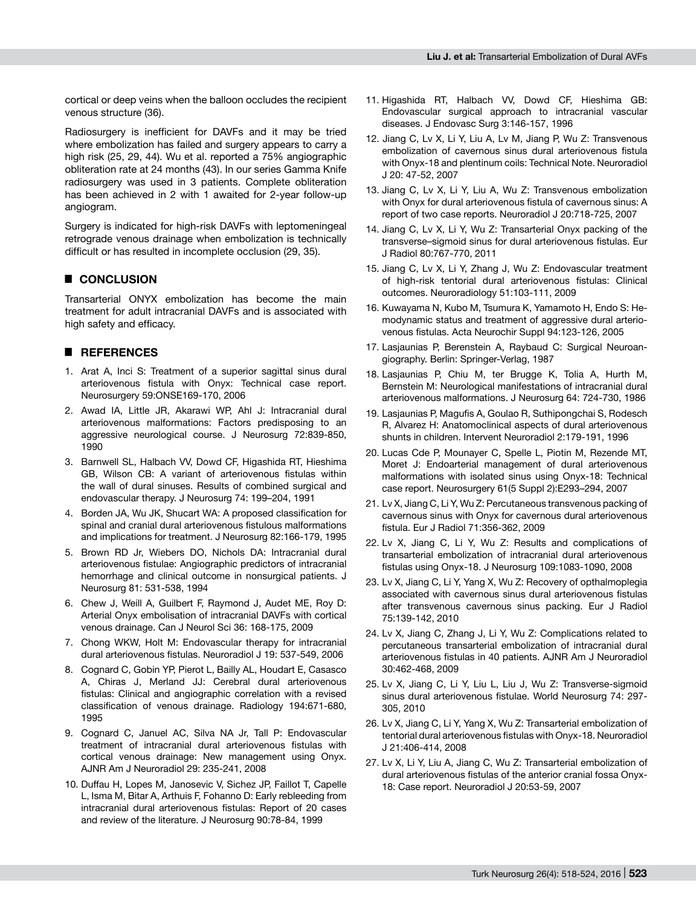cortical or deep veins when the balloon occludes the recipient venous structure (36).

Radiosurgery is inefficient for DAVFs and it may be tried where embolization has failed and surgery appears to carry a high risk (25, 29, 44). Wu et al. reported a 75% angiographic obliteration rate at 24 months (43). In our series Gamma Knife radiosurgery was used in 3 patients. Complete obliteration has been achieved in 2 with 1 awaited for 2-year follow-up angiogram.

Surgery is indicated for high-risk DAVFs with leptomeningeal retrograde venous drainage when embolization is technically difficult or has resulted in incomplete occlusion (29, 35).

# █ **CONCLUSION**

Transarterial ONYX embolization has become the main treatment for adult intracranial DAVFs and is associated with high safety and efficacy.

### █ **REFERENCES**

- 1. Arat A, Inci S: Treatment of a superior sagittal sinus dural arteriovenous fistula with Onyx: Technical case report. Neurosurgery 59:ONSE169-170, 2006
- 2. Awad IA, Little JR, Akarawi WP, Ahl J: Intracranial dural arteriovenous malformations: Factors predisposing to an aggressive neurological course. J Neurosurg 72:839-850, 1990
- 3. Barnwell SL, Halbach VV, Dowd CF, Higashida RT, Hieshima GB, Wilson CB: A variant of arteriovenous fistulas within the wall of dural sinuses. Results of combined surgical and endovascular therapy. J Neurosurg 74: 199–204, 1991
- 4. Borden JA, Wu JK, Shucart WA: A proposed classification for spinal and cranial dural arteriovenous fistulous malformations and implications for treatment. J Neurosurg 82:166-179, 1995
- 5. Brown RD Jr, Wiebers DO, Nichols DA: Intracranial dural arteriovenous fistulae: Angiographic predictors of intracranial hemorrhage and clinical outcome in nonsurgical patients. J Neurosurg 81: 531-538, 1994
- 6. Chew J, Weill A, Guilbert F, Raymond J, Audet ME, Roy D: Arterial Onyx embolisation of intracranial DAVFs with cortical venous drainage. Can J Neurol Sci 36: 168-175, 2009
- 7. Chong WKW, Holt M: Endovascular therapy for intracranial dural arteriovenous fistulas. Neuroradiol J 19: 537-549, 2006
- 8. Cognard C, Gobin YP, Pierot L, Bailly AL, Houdart E, Casasco A, Chiras J, Merland JJ: Cerebral dural arteriovenous fistulas: Clinical and angiographic correlation with a revised classification of venous drainage. Radiology 194:671-680, 1995
- 9. Cognard C, Januel AC, Silva NA Jr, Tall P: Endovascular treatment of intracranial dural arteriovenous fistulas with cortical venous drainage: New management using Onyx. AJNR Am J Neuroradiol 29: 235-241, 2008
- 10. Duffau H, Lopes M, Janosevic V, Sichez JP, Faillot T, Capelle L, Isma M, Bitar A, Arthuis F, Fohanno D: Early rebleeding from intracranial dural arteriovenous fistulas: Report of 20 cases and review of the literature. J Neurosurg 90:78-84, 1999
- 11. Higashida RT, Halbach VV, Dowd CF, Hieshima GB: Endovascular surgical approach to intracranial vascular diseases. J Endovasc Surg 3:146-157, 1996
- 12. Jiang C, Lv X, Li Y, Liu A, Lv M, Jiang P, Wu Z: Transvenous embolization of cavernous sinus dural arteriovenous fistula with Onyx-18 and plentinum coils: Technical Note. Neuroradiol J 20: 47-52, 2007
- 13. Jiang C, Lv X, Li Y, Liu A, Wu Z: Transvenous embolization with Onyx for dural arteriovenous fistula of cavernous sinus: A report of two case reports. Neuroradiol J 20:718-725, 2007
- 14. Jiang C, Lv X, Li Y, Wu Z: Transarterial Onyx packing of the transverse–sigmoid sinus for dural arteriovenous fistulas. Eur J Radiol 80:767-770, 2011
- 15. Jiang C, Lv X, Li Y, Zhang J, Wu Z: Endovascular treatment of high-risk tentorial dural arteriovenous fistulas: Clinical outcomes. Neuroradiology 51:103-111, 2009
- 16. Kuwayama N, Kubo M, Tsumura K, Yamamoto H, Endo S: Hemodynamic status and treatment of aggressive dural arteriovenous fistulas. Acta Neurochir Suppl 94:123-126, 2005
- 17. Lasjaunias P, Berenstein A, Raybaud C: Surgical Neuroangiography. Berlin: Springer-Verlag, 1987
- 18. Lasjaunias P, Chiu M, ter Brugge K, Tolia A, Hurth M, Bernstein M: Neurological manifestations of intracranial dural arteriovenous malformations. J Neurosurg 64: 724-730, 1986
- 19. Lasjaunias P, Magufis A, Goulao R, Suthipongchai S, Rodesch R, Alvarez H: Anatomoclinical aspects of dural arteriovenous shunts in children. Intervent Neuroradiol 2:179-191, 1996
- 20. Lucas Cde P, Mounayer C, Spelle L, Piotin M, Rezende MT, Moret J: Endoarterial management of dural arteriovenous malformations with isolated sinus using Onyx-18: Technical case report. Neurosurgery 61(5 Suppl 2):E293–294, 2007
- 21. Lv X, Jiang C, Li Y, Wu Z: Percutaneous transvenous packing of cavernous sinus with Onyx for cavernous dural arteriovenous fistula. Eur J Radiol 71:356-362, 2009
- 22. Lv X, Jiang C, Li Y, Wu Z: Results and complications of transarterial embolization of intracranial dural arteriovenous fistulas using Onyx-18. J Neurosurg 109:1083-1090, 2008
- 23. Lv X, Jiang C, Li Y, Yang X, Wu Z: Recovery of opthalmoplegia associated with cavernous sinus dural arteriovenous fistulas after transvenous cavernous sinus packing. Eur J Radiol 75:139-142, 2010
- 24. Lv X, Jiang C, Zhang J, Li Y, Wu Z: Complications related to percutaneous transarterial embolization of intracranial dural arteriovenous fistulas in 40 patients. AJNR Am J Neuroradiol 30:462-468, 2009
- 25. Lv X, Jiang C, Li Y, Liu L, Liu J, Wu Z: Transverse-sigmoid sinus dural arteriovenous fistulae. World Neurosurg 74: 297- 305, 2010
- 26. Lv X, Jiang C, Li Y, Yang X, Wu Z: Transarterial embolization of tentorial dural arteriovenous fistulas with Onyx-18. Neuroradiol J 21:406-414, 2008
- 27. Lv X, Li Y, Liu A, Jiang C, Wu Z: Transarterial embolization of dural arteriovenous fistulas of the anterior cranial fossa Onyx-18: Case report. Neuroradiol J 20:53-59, 2007